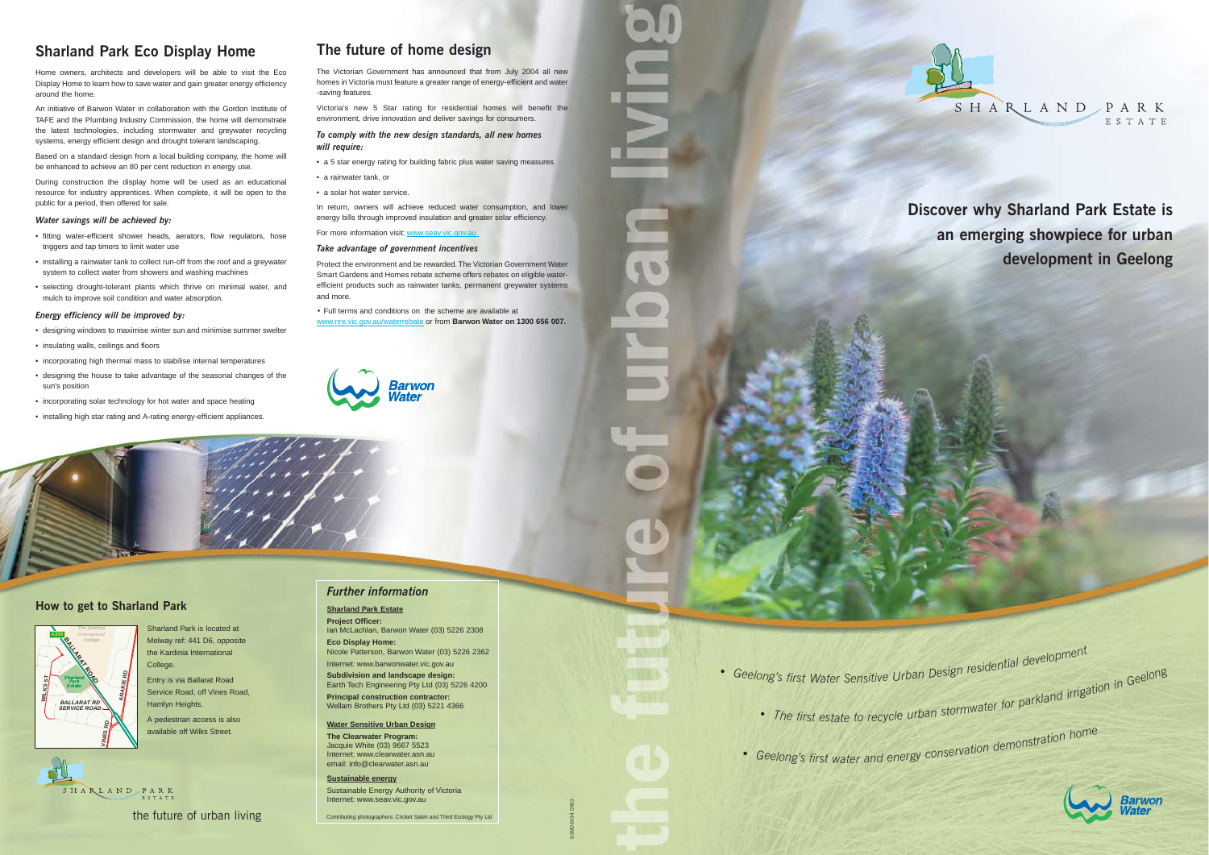*•*

- -

# **Discover why Sharland Park Estate is an emerging showpiece for urban development in Geelong**

• Geelong's first Water Sensitive Urban Design residential development ong's first Water Sensitive Urban Design residents<br>• The first estate to recycle urban stormwater for parkland irrigation in Geelong

• Geelong's first water and energy conservation demonstration home



# **Sharland Park Eco Display Home**

Home owners, architects and developers will be able to visit the Eco Display Home to learn how to save water and gain greater energy efficiency around the home.

An initiative of Barwon Water in collaboration with the Gordon Institute of TAFE and the Plumbing Industry Commission, the home will demonstrate the latest technologies, including stormwater and greywater recycling systems, energy efficient design and drought tolerant landscaping.

Based on a standard design from a local building company, the home will be enhanced to achieve an 80 per cent reduction in energy use.

During construction the display home will be used as an educational resource for industry apprentices. When complete, it will be open to the public for a period, then offered for sale.

### *Water savings will be achieved by:*

- fitting water-efficient shower heads, aerators, flow regulators, hose triggers and tap timers to limit water use
- installing a rainwater tank to collect run-off from the roof and a greywater system to collect water from showers and washing machines
- selecting drought-tolerant plants which thrive on minimal water, and mulch to improve soil condition and water absorption.

### *Energy efficiency will be improved by:*

- designing windows to maximise winter sun and minimise summer swelter
- insulating walls, ceilings and floors
- incorporating high thermal mass to stabilise internal temperatures
- designing the house to take advantage of the seasonal changes of the sun's position
- incorporating solar technology for hot water and space heating
- installing high star rating and A-rating energy-efficient appliances.

# **The future of home design**

The Victorian Government has announced that from July 2004 all new homes in Victoria must feature a greater range of energy-efficient and water -saving features.

Victoria's new 5 Star rating for residential homes will benefit the environment, drive innovation and deliver savings for consumers.

### *To comply with the new design standards, all new homes will require:*

- a 5 star energy rating for building fabric plus water saving measures
- a rainwater tank, or
- a solar hot water service.

In return, owners will achieve reduced water consumption, and lower energy bills through improved insulation and greater solar efficiency.

For more information visit: www.seav.vic.gov.au

### *Take advantage of government incentives*

Protect the environment and be rewarded.The Victorian Government Water Smart Gardens and Homes rebate scheme offers rebates on eligible waterefficient products such as rainwater tanks, permanent greywater systems and more.

*•* Full terms and conditions on the scheme are available at www.nre.vic.gov.au/waterrebate or from **Barwon Water on 1300 656 007.**



## **How to get to Sharland Park**

SHARLAND PARK

Sharland Park is located at Melway ref: 441 D6, opposite the Kardinia International College Entry is via Ballarat Road Service Road, off Vines Road, Hamlyn Heights. A pedestrian access is also

available off Wilks Street.



GSMD6494 0903

*Further information*

### **Sharland Park Estate**

**Project Officer:** Ian McLachlan, Barwon Water (03) 5226 2308 **Eco Display Home:**

Nicole Patterson, Barwon Water (03) 5226 2362 Internet: www.barwonwater.vic.gov.au

**Subdivision and landscape design:** Earth Tech Engineering Pty Ltd (03) 5226 4200 **Principal construction contractor:** Wellam Brothers Pty Ltd (03) 5221 4366

#### **Water Sensitive Urban Design**

**The Clearwater Program:** Jacquie White (03) 9667 5523 Internet: www.clearwater.asn.au email: info@clearwater.asn.au

**Sustainable energy** Sustainable Energy Authority of Victoria Internet: www.seav.vic.gov.au



Contributing photographers: Cricket Saleh and Third Ecology Pty Ltd

*•*